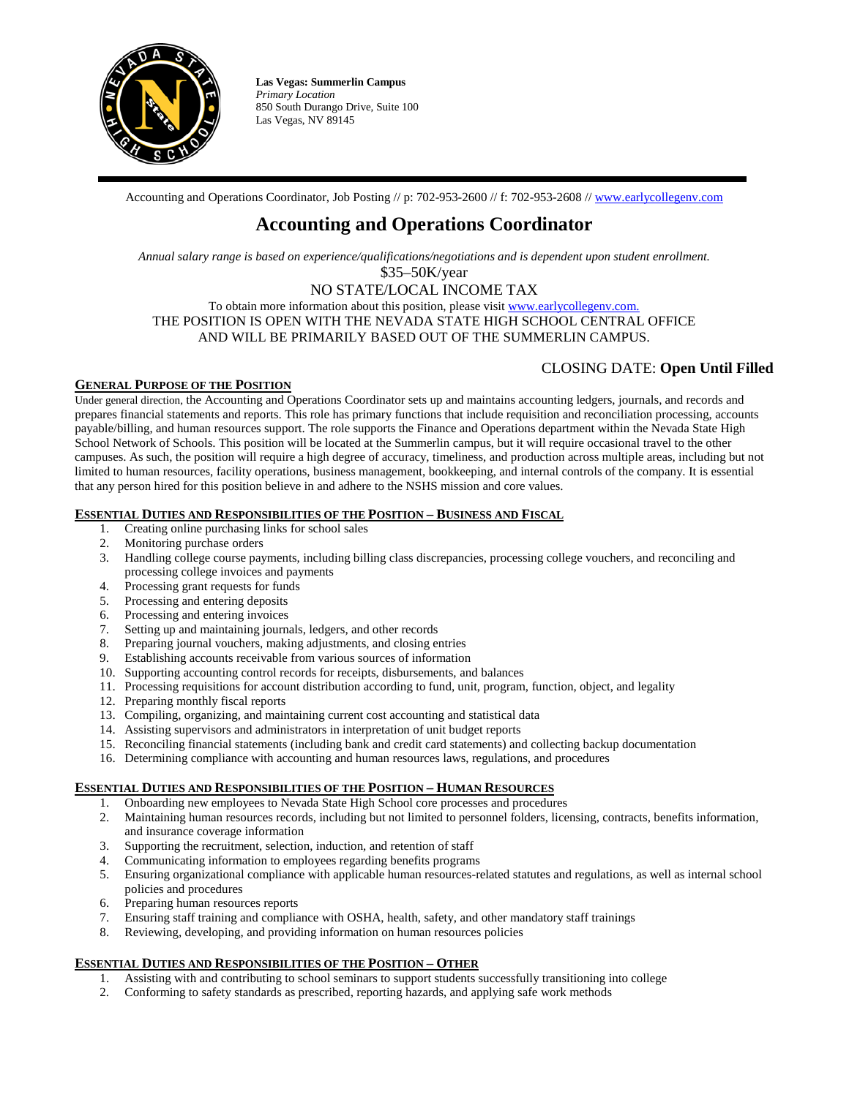

**Las Vegas: Summerlin Campus**  *Primary Location* 850 South Durango Drive, Suite 100 Las Vegas, NV 89145

Accounting and Operations Coordinator, Job Posting // p: 702-953-2600 // f: 702-953-2608 // [www.earlycollegenv.com](http://www.earlycollegenv.com/)

# **Accounting and Operations Coordinator**

*Annual salary range is based on experience/qualifications/negotiations and is dependent upon student enrollment.*

\$35–50K/year

NO STATE/LOCAL INCOME TAX To obtain more information about this position, please visi[t www.earlycollegenv.com.](http://www.earlycollegenv.com/) THE POSITION IS OPEN WITH THE NEVADA STATE HIGH SCHOOL CENTRAL OFFICE AND WILL BE PRIMARILY BASED OUT OF THE SUMMERLIN CAMPUS.

## CLOSING DATE: **Open Until Filled**

## **GENERAL PURPOSE OF THE POSITION**

Under general direction, the Accounting and Operations Coordinator sets up and maintains accounting ledgers, journals, and records and prepares financial statements and reports. This role has primary functions that include requisition and reconciliation processing, accounts payable/billing, and human resources support. The role supports the Finance and Operations department within the Nevada State High School Network of Schools. This position will be located at the Summerlin campus, but it will require occasional travel to the other campuses. As such, the position will require a high degree of accuracy, timeliness, and production across multiple areas, including but not limited to human resources, facility operations, business management, bookkeeping, and internal controls of the company. It is essential that any person hired for this position believe in and adhere to the NSHS mission and core values.

## **ESSENTIAL DUTIES AND RESPONSIBILITIES OF THE POSITION – BUSINESS AND FISCAL**

- 1. Creating online purchasing links for school sales
- 2. Monitoring purchase orders
- 3. Handling college course payments, including billing class discrepancies, processing college vouchers, and reconciling and processing college invoices and payments
- 4. Processing grant requests for funds
- 5. Processing and entering deposits
- 6. Processing and entering invoices
- 7. Setting up and maintaining journals, ledgers, and other records
- 8. Preparing journal vouchers, making adjustments, and closing entries
- 9. Establishing accounts receivable from various sources of information
- 10. Supporting accounting control records for receipts, disbursements, and balances
- 11. Processing requisitions for account distribution according to fund, unit, program, function, object, and legality
- 12. Preparing monthly fiscal reports
- 13. Compiling, organizing, and maintaining current cost accounting and statistical data
- 14. Assisting supervisors and administrators in interpretation of unit budget reports
- 15. Reconciling financial statements (including bank and credit card statements) and collecting backup documentation
- 16. Determining compliance with accounting and human resources laws, regulations, and procedures

## **ESSENTIAL DUTIES AND RESPONSIBILITIES OF THE POSITION – HUMAN RESOURCES**

- 1. Onboarding new employees to Nevada State High School core processes and procedures
- 2. Maintaining human resources records, including but not limited to personnel folders, licensing, contracts, benefits information, and insurance coverage information
- 3. Supporting the recruitment, selection, induction, and retention of staff
- 4. Communicating information to employees regarding benefits programs
- 5. Ensuring organizational compliance with applicable human resources-related statutes and regulations, as well as internal school policies and procedures
- 6. Preparing human resources reports
- 7. Ensuring staff training and compliance with OSHA, health, safety, and other mandatory staff trainings
- 8. Reviewing, developing, and providing information on human resources policies

## **ESSENTIAL DUTIES AND RESPONSIBILITIES OF THE POSITION – OTHER**

- 1. Assisting with and contributing to school seminars to support students successfully transitioning into college
- 2. Conforming to safety standards as prescribed, reporting hazards, and applying safe work methods